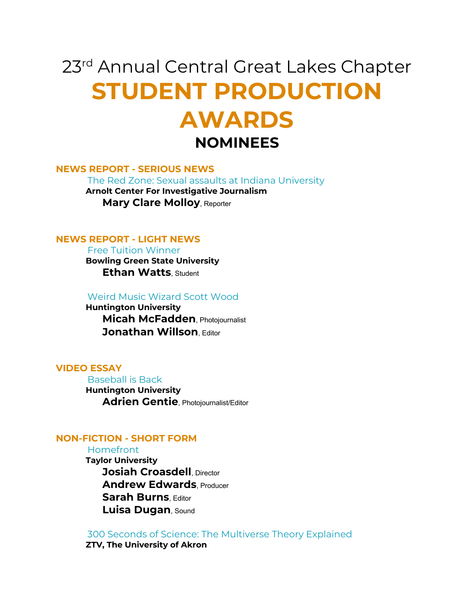# 23<sup>rd</sup> Annual Central Great Lakes Chapter **STUDENT PRODUCTION AWARDS NOMINEES**

## **NEWS REPORT - SERIOUS NEWS**

The Red Zone: Sexual assaults at Indiana University

 **Arnolt Center For Investigative Journalism Mary Clare Molloy**, Reporter

# **NEWS REPORT - LIGHT NEWS**

 Free Tuition Winner  **Bowling Green State University Ethan Watts**, Student

Weird Music Wizard Scott Wood

 **Huntington University Micah McFadden**, Photojournalist **Jonathan Willson, Editor** 

#### **VIDEO ESSAY**

 Baseball is Back  **Huntington University Adrien Gentie**, Photojournalist/Editor

# **NON-FICTION - SHORT FORM**

Homefront

 **Taylor University Josiah Croasdell**, Director **Andrew Edwards**, Producer **Sarah Burns**, Editor **Luisa Dugan**, Sound

 300 Seconds of Science: The Multiverse Theory Explained  **ZTV, The University of Akron**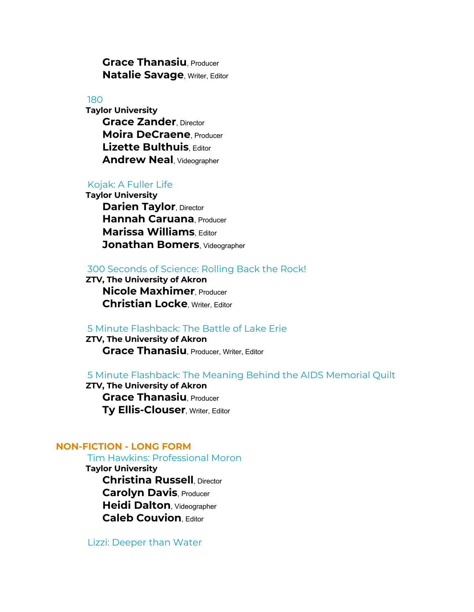**Grace Thanasiu**, Producer **Natalie Savage**, Writer, Editor

180

 **Taylor University Grace Zander**, Director **Moira DeCraene**, Producer **Lizette Bulthuis**, Editor **Andrew Neal**, Videographer

# Kojak: A Fuller Life

 **Taylor University Darien Taylor, Director Hannah Caruana**, Producer **Marissa Williams**, Editor **Jonathan Bomers**, Videographer

# 300 Seconds of Science: Rolling Back the Rock!

 **ZTV, The University of Akron Nicole Maxhimer**, Producer **Christian Locke**, Writer, Editor

# 5 Minute Flashback: The Battle of Lake Erie

 **ZTV, The University of Akron Grace Thanasiu**, Producer, Writer, Editor

## 5 Minute Flashback: The Meaning Behind the AIDS Memorial Quilt

 **ZTV, The University of Akron Grace Thanasiu**, Producer **Ty Ellis-Clouser**, Writer, Editor

# **NON-FICTION - LONG FORM**

Tim Hawkins: Professional Moron

 **Taylor University**

 **Christina Russell**, Director **Carolyn Davis**, Producer **Heidi Dalton**, Videographer **Caleb Couvion**, Editor

Lizzi: Deeper than Water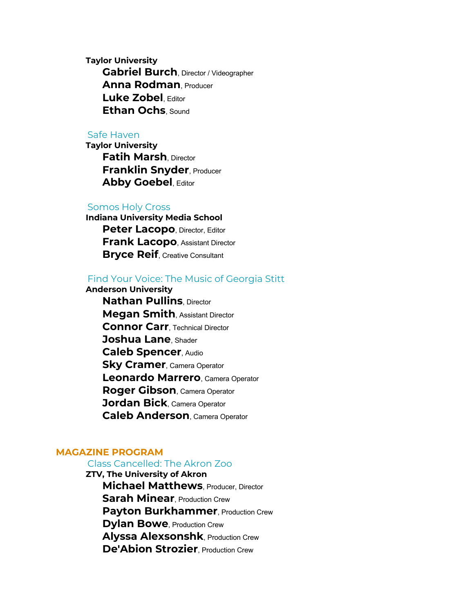**Taylor University Gabriel Burch**, Director / Videographer **Anna Rodman**, Producer **Luke Zobel**, Editor **Ethan Ochs**, Sound

#### Safe Haven

 **Taylor University Fatih Marsh**, Director **Franklin Snyder**, Producer **Abby Goebel**, Editor

#### Somos Holy Cross

 **Indiana University Media School Peter Lacopo**, Director, Editor **Frank Lacopo**, Assistant Director **Bryce Reif**, Creative Consultant

# Find Your Voice: The Music of Georgia Stitt

 **Anderson University**

 **Nathan Pullins**, Director **Megan Smith**, Assistant Director **Connor Carr**, Technical Director **Joshua Lane**, Shader **Caleb Spencer**, Audio **Sky Cramer**, Camera Operator **Leonardo Marrero**, Camera Operator **Roger Gibson**, Camera Operator **Jordan Bick**, Camera Operator **Caleb Anderson**, Camera Operator

## **MAGAZINE PROGRAM**

#### Class Cancelled: The Akron Zoo

 **ZTV, The University of Akron Michael Matthews**, Producer, Director **Sarah Minear**, Production Crew **Payton Burkhammer**, Production Crew **Dylan Bowe**, Production Crew **Alyssa Alexsonshk**, Production Crew **De'Abion Strozier**, Production Crew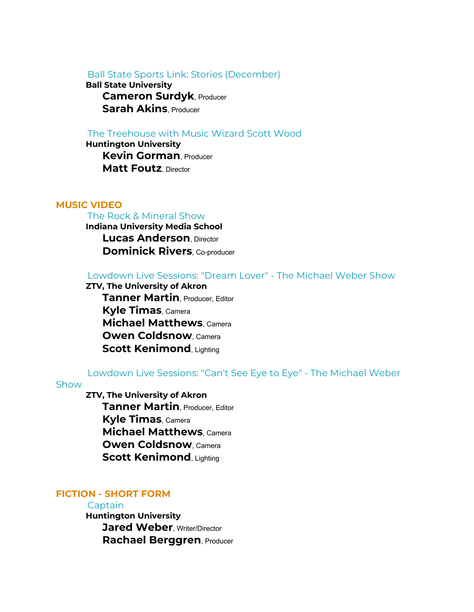Ball State Sports Link: Stories (December)

 **Ball State University Cameron Surdyk**, Producer **Sarah Akins**, Producer

## The Treehouse with Music Wizard Scott Wood

 **Huntington University Kevin Gorman**, Producer **Matt Foutz**, Director

#### **MUSIC VIDEO**

#### The Rock & Mineral Show

 **Indiana University Media School Lucas Anderson**, Director **Dominick Rivers**, Co-producer

#### Lowdown Live Sessions: "Dream Lover" - The Michael Weber Show

 **ZTV, The University of Akron Tanner Martin**, Producer, Editor **Kyle Timas**, Camera **Michael Matthews**, Camera **Owen Coldsnow**, Camera **Scott Kenimond, Lighting** 

#### Lowdown Live Sessions: "Can't See Eye to Eye" - The Michael Weber

#### Show

 **ZTV, The University of Akron Tanner Martin**, Producer, Editor **Kyle Timas**, Camera **Michael Matthews**, Camera **Owen Coldsnow**, Camera **Scott Kenimond, Lighting** 

# **FICTION - SHORT FORM**

#### **Captain**

 **Huntington University Jared Weber**, Writer/Director **Rachael Berggren**, Producer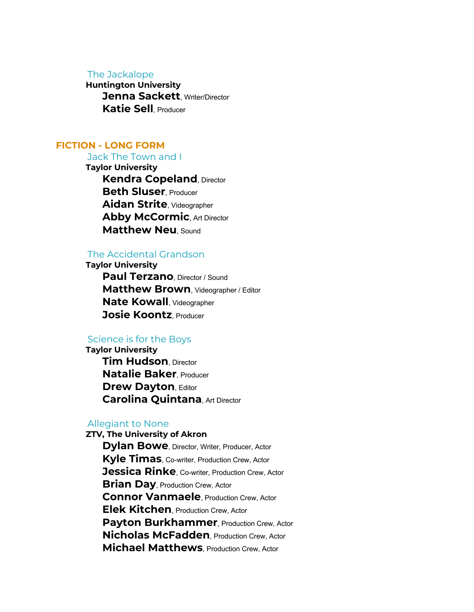#### The Jackalope

 **Huntington University Jenna Sackett**, Writer/Director **Katie Sell**, Producer

# **FICTION - LONG FORM**

Jack The Town and I

 **Taylor University Kendra Copeland**, Director **Beth Sluser**, Producer **Aidan Strite**, Videographer **Abby McCormic, Art Director Matthew Neu**, Sound

# The Accidental Grandson

 **Taylor University Paul Terzano**, Director / Sound **Matthew Brown**, Videographer / Editor **Nate Kowall**, Videographer **Josie Koontz**, Producer

## Science is for the Boys

 **Taylor University Tim Hudson**, Director **Natalie Baker**, Producer **Drew Dayton, Editor Carolina Quintana**, Art Director

#### Allegiant to None

 **ZTV, The University of Akron Dylan Bowe**, Director, Writer, Producer, Actor **Kyle Timas**, Co-writer, Production Crew, Actor **Jessica Rinke**, Co-writer, Production Crew, Actor **Brian Day, Production Crew, Actor Connor Vanmaele**, Production Crew, Actor **Elek Kitchen**, Production Crew, Actor Payton Burkhammer, Production Crew, Actor **Nicholas McFadden**, Production Crew, Actor **Michael Matthews**, Production Crew, Actor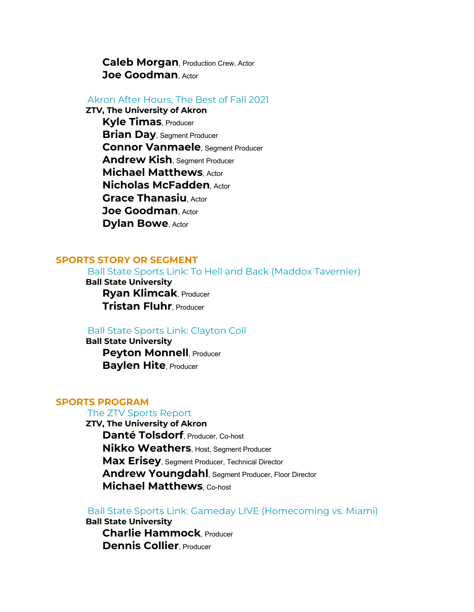**Caleb Morgan**, Production Crew, Actor **Joe Goodman**, Actor

Akron After Hours, The Best of Fall 2021

 **ZTV, The University of Akron**

 **Kyle Timas**, Producer **Brian Day**, Segment Producer **Connor Vanmaele**, Segment Producer **Andrew Kish**, Segment Producer **Michael Matthews**, Actor **Nicholas McFadden**, Actor **Grace Thanasiu**, Actor **Joe Goodman**, Actor **Dylan Bowe**, Actor

# **SPORTS STORY OR SEGMENT**

Ball State Sports Link: To Hell and Back (Maddox Tavernier)

 **Ball State University Ryan Klimcak**, Producer **Tristan Fluhr**, Producer

# Ball State Sports Link: Clayton Coll

 **Ball State University Peyton Monnell, Producer Baylen Hite**, Producer

# **SPORTS PROGRAM**

## The ZTV Sports Report

 **ZTV, The University of Akron Danté Tolsdorf**, Producer, Co-host **Nikko Weathers**, Host, Segment Producer **Max Erisey**, Segment Producer, Technical Director **Andrew Youngdahl**, Segment Producer, Floor Director **Michael Matthews**, Co-host

Ball State Sports Link: Gameday LIVE (Homecoming vs. Miami)

 **Ball State University Charlie Hammock**, Producer **Dennis Collier**, Producer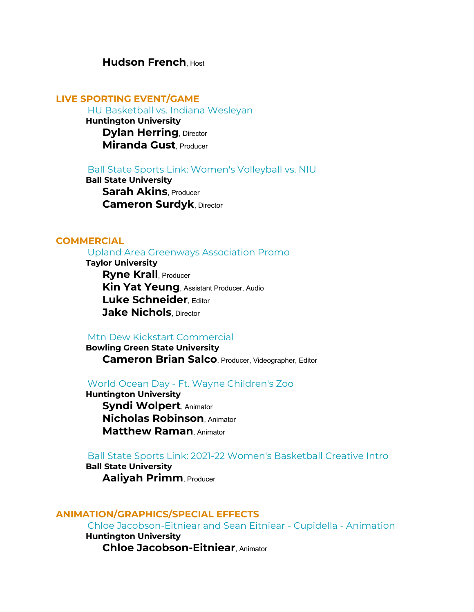# **Hudson French**, Host

# **LIVE SPORTING EVENT/GAME**

HU Basketball vs. Indiana Wesleyan

 **Huntington University Dylan Herring, Director Miranda Gust**, Producer

#### Ball State Sports Link: Women's Volleyball vs. NIU

 **Ball State University Sarah Akins**, Producer **Cameron Surdyk**, Director

# **COMMERCIAL**

Upland Area Greenways Association Promo

 **Taylor University Ryne Krall**, Producer **Kin Yat Yeung**, Assistant Producer, Audio **Luke Schneider**, Editor **Jake Nichols**, Director

## Mtn Dew Kickstart Commercial

 **Bowling Green State University Cameron Brian Salco**, Producer, Videographer, Editor

## World Ocean Day - Ft. Wayne Children's Zoo

 **Huntington University Syndi Wolpert**, Animator **Nicholas Robinson**, Animator **Matthew Raman**, Animator

# Ball State Sports Link: 2021-22 Women's Basketball Creative Intro

 **Ball State University Aaliyah Primm**, Producer

# **ANIMATION/GRAPHICS/SPECIAL EFFECTS**

Chloe Jacobson-Eitniear and Sean Eitniear - Cupidella - Animation

 **Huntington University Chloe Jacobson-Eitniear**, Animator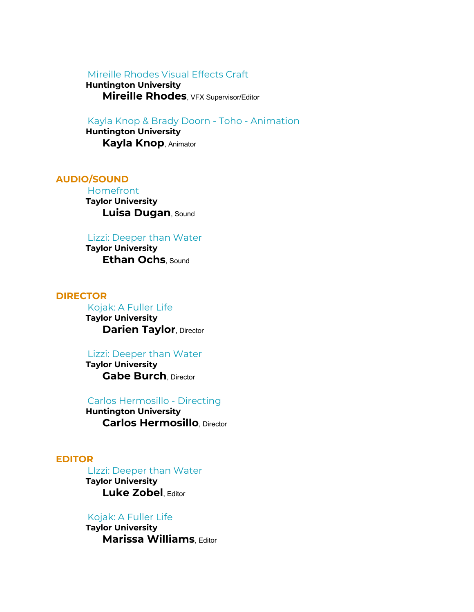# Mireille Rhodes Visual Effects Craft

 **Huntington University Mireille Rhodes**, VFX Supervisor/Editor

# Kayla Knop & Brady Doorn - Toho - Animation

 **Huntington University Kayla Knop**, Animator

# **AUDIO/SOUND**

 Homefront  **Taylor University Luisa Dugan**, Sound

#### Lizzi: Deeper than Water

 **Taylor University Ethan Ochs**, Sound

## **DIRECTOR**

 Kojak: A Fuller Life  **Taylor University Darien Taylor, Director** 

#### Lizzi: Deeper than Water

 **Taylor University Gabe Burch**, Director

## Carlos Hermosillo - Directing

 **Huntington University Carlos Hermosillo**, Director

#### **EDITOR**

 LIzzi: Deeper than Water  **Taylor University Luke Zobel**, Editor

#### Kojak: A Fuller Life

 **Taylor University Marissa Williams**, Editor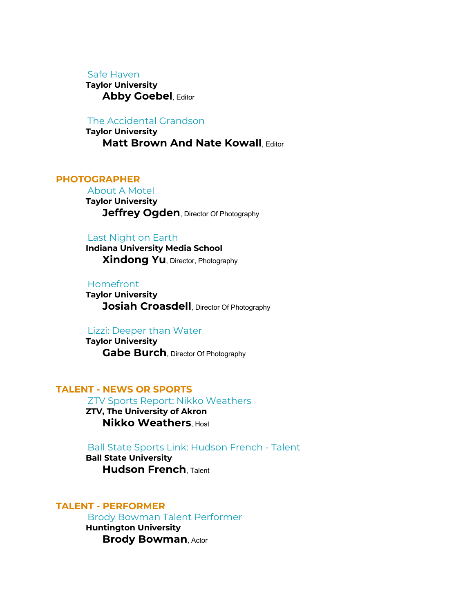#### Safe Haven

 **Taylor University Abby Goebel**, Editor

The Accidental Grandson

 **Taylor University Matt Brown And Nate Kowall, Editor** 

# **PHOTOGRAPHER**

 About A Motel  **Taylor University Jeffrey Ogden**, Director Of Photography

## Last Night on Earth

 **Indiana University Media School Xindong Yu**, Director, Photography

## Homefront

 **Taylor University Josiah Croasdell**, Director Of Photography

#### Lizzi: Deeper than Water

 **Taylor University Gabe Burch**, Director Of Photography

# **TALENT - NEWS OR SPORTS**

ZTV Sports Report: Nikko Weathers

 **ZTV, The University of Akron Nikko Weathers**, Host

#### Ball State Sports Link: Hudson French - Talent

 **Ball State University Hudson French**, Talent

## **TALENT - PERFORMER**

Brody Bowman Talent Performer

 **Huntington University Brody Bowman**, Actor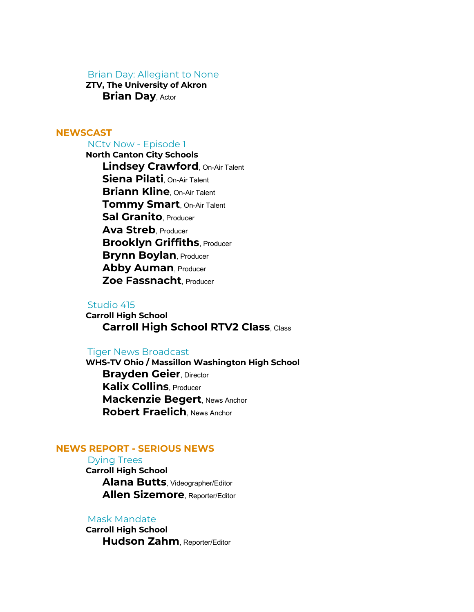#### Brian Day: Allegiant to None

 **ZTV, The University of Akron Brian Day**, Actor

# **NEWSCAST**

# NCtv Now - Episode 1

 **North Canton City Schools Lindsey Crawford**, On-Air Talent **Siena Pilati**, On-Air Talent **Briann Kline**, On-Air Talent **Tommy Smart**, On-Air Talent **Sal Granito**, Producer **Ava Streb**, Producer **Brooklyn Griffiths, Producer Brynn Boylan**, Producer **Abby Auman**, Producer **Zoe Fassnacht**, Producer

## Studio 415

 **Carroll High School Carroll High School RTV2 Class**, Class

## Tiger News Broadcast

 **WHS-TV Ohio / Massillon Washington High School Brayden Geier, Director Kalix Collins**, Producer **Mackenzie Begert**, News Anchor **Robert Fraelich**, News Anchor

## **NEWS REPORT - SERIOUS NEWS**

#### Dying Trees

 **Carroll High School Alana Butts**, Videographer/Editor **Allen Sizemore**, Reporter/Editor

## Mask Mandate

 **Carroll High School Hudson Zahm**, Reporter/Editor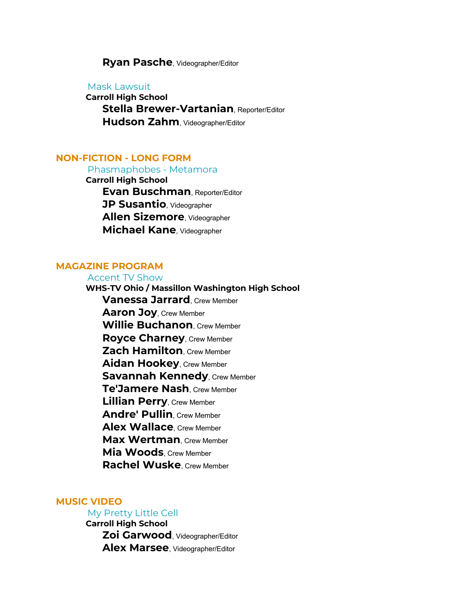## **Ryan Pasche**, Videographer/Editor

Mask Lawsuit

 **Carroll High School Stella Brewer-Vartanian**, Reporter/Editor **Hudson Zahm**, Videographer/Editor

## **NON-FICTION - LONG FORM**

Phasmaphobes - Metamora

 **Carroll High School Evan Buschman**, Reporter/Editor **JP Susantio**, Videographer **Allen Sizemore**, Videographer **Michael Kane**, Videographer

## **MAGAZINE PROGRAM**

 Accent TV Show  **WHS-TV Ohio / Massillon Washington High School Vanessa Jarrard**, Crew Member **Aaron Joy**, Crew Member **Willie Buchanon**, Crew Member **Royce Charney**, Crew Member **Zach Hamilton**, Crew Member **Aidan Hookey**, Crew Member **Savannah Kennedy, Crew Member Te'Jamere Nash**, Crew Member **Lillian Perry**, Crew Member **Andre' Pullin**, Crew Member **Alex Wallace**, Crew Member **Max Wertman**, Crew Member **Mia Woods**, Crew Member **Rachel Wuske**, Crew Member

#### **MUSIC VIDEO**

# My Pretty Little Cell

 **Carroll High School Zoi Garwood**, Videographer/Editor **Alex Marsee**, Videographer/Editor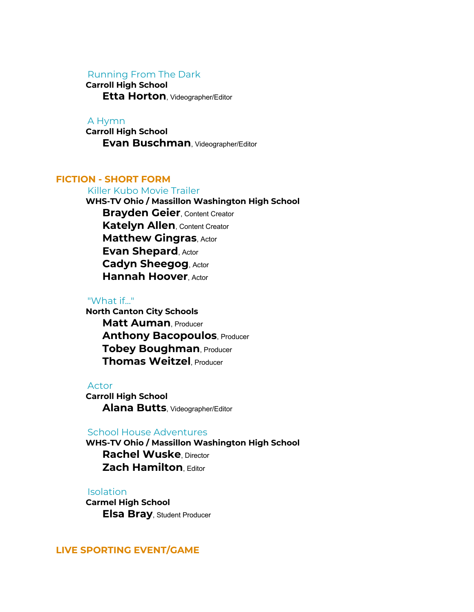## Running From The Dark

 **Carroll High School**

**Etta Horton**, Videographer/Editor

## A Hymn

 **Carroll High School Evan Buschman**, Videographer/Editor

# **FICTION - SHORT FORM**

Killer Kubo Movie Trailer

 **WHS-TV Ohio / Massillon Washington High School Brayden Geier**, Content Creator **Katelyn Allen, Content Creator Matthew Gingras**, Actor **Evan Shepard**, Actor **Cadyn Sheegog**, Actor **Hannah Hoover**, Actor

#### "What if..."

 **North Canton City Schools Matt Auman**, Producer **Anthony Bacopoulos, Producer Tobey Boughman**, Producer **Thomas Weitzel**, Producer

#### Actor

 **Carroll High School Alana Butts**, Videographer/Editor

## School House Adventures

 **WHS-TV Ohio / Massillon Washington High School Rachel Wuske**, Director **Zach Hamilton**, Editor

## Isolation

 **Carmel High School Elsa Bray**, Student Producer

# **LIVE SPORTING EVENT/GAME**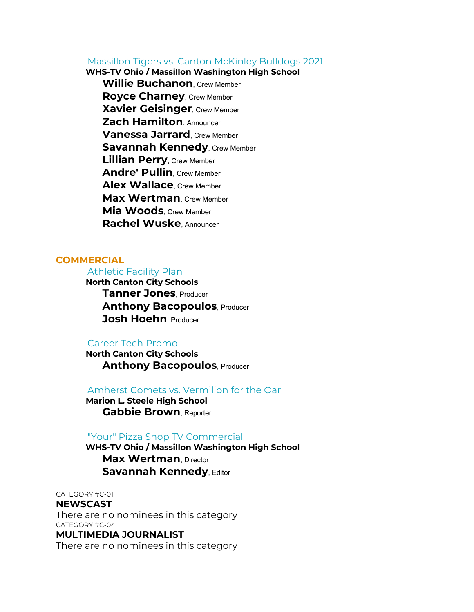Massillon Tigers vs. Canton McKinley Bulldogs 2021

 **WHS-TV Ohio / Massillon Washington High School Willie Buchanon**, Crew Member **Royce Charney**, Crew Member **Xavier Geisinger**, Crew Member **Zach Hamilton**, Announcer **Vanessa Jarrard**, Crew Member **Savannah Kennedy, Crew Member Lillian Perry**, Crew Member **Andre' Pullin**, Crew Member **Alex Wallace**, Crew Member **Max Wertman**, Crew Member **Mia Woods**, Crew Member **Rachel Wuske**, Announcer

# **COMMERCIAL**

# Athletic Facility Plan

 **North Canton City Schools Tanner Jones**, Producer **Anthony Bacopoulos, Producer Josh Hoehn**, Producer

# Career Tech Promo

 **North Canton City Schools Anthony Bacopoulos, Producer** 

Amherst Comets vs. Vermilion for the Oar

 **Marion L. Steele High School Gabbie Brown**, Reporter

#### "Your" Pizza Shop TV Commercial

 **WHS-TV Ohio / Massillon Washington High School Max Wertman, Director Savannah Kennedy**, Editor

CATEGORY #C-01

#### **NEWSCAST**

There are no nominees in this category CATEGORY #C-04

# **MULTIMEDIA JOURNALIST**

There are no nominees in this category